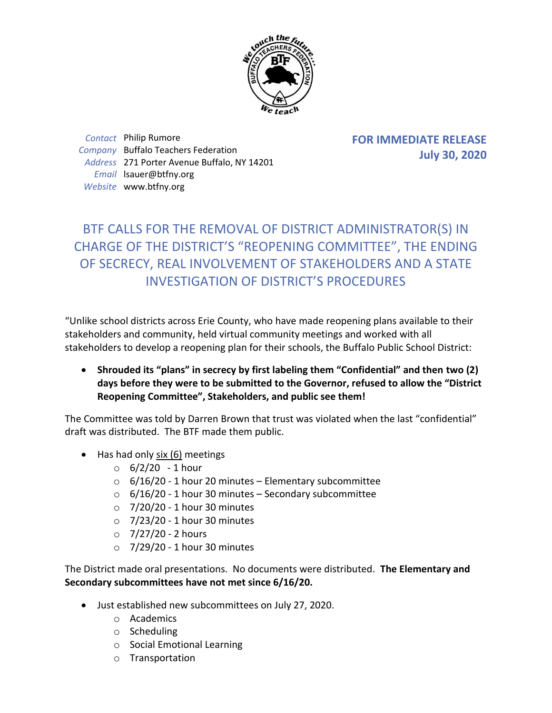

*Contact* Philip Rumore *Company* Buffalo Teachers Federation *Address* 271 Porter Avenue Buffalo, NY 14201 *Email* lsauer@btfny.org *Website* www.btfny.org

**FOR IMMEDIATE RELEASE July 30, 2020**

## BTF CALLS FOR THE REMOVAL OF DISTRICT ADMINISTRATOR(S) IN CHARGE OF THE DISTRICT'S "REOPENING COMMITTEE", THE ENDING OF SECRECY, REAL INVOLVEMENT OF STAKEHOLDERS AND A STATE INVESTIGATION OF DISTRICT'S PROCEDURES

"Unlike school districts across Erie County, who have made reopening plans available to their stakeholders and community, held virtual community meetings and worked with all stakeholders to develop a reopening plan for their schools, the Buffalo Public School District:

 **Shrouded its "plans" in secrecy by first labeling them "Confidential" and then two (2) days before they were to be submitted to the Governor, refused to allow the "District Reopening Committee", Stakeholders, and public see them!**

The Committee was told by Darren Brown that trust was violated when the last "confidential" draft was distributed. The BTF made them public.

- Has had only six (6) meetings
	- $\circ$  6/2/20 1 hour
	- $\circ$  6/16/20 1 hour 20 minutes Elementary subcommittee
	- $\circ$  6/16/20 1 hour 30 minutes Secondary subcommittee
	- $\circ$  7/20/20 1 hour 30 minutes
	- $\circ$  7/23/20 1 hour 30 minutes
	- $\circ$  7/27/20 2 hours
	- $\circ$  7/29/20 1 hour 30 minutes

The District made oral presentations. No documents were distributed. **The Elementary and Secondary subcommittees have not met since 6/16/20.**

- Just established new subcommittees on July 27, 2020.
	- o Academics
	- o Scheduling
	- o Social Emotional Learning
	- o Transportation